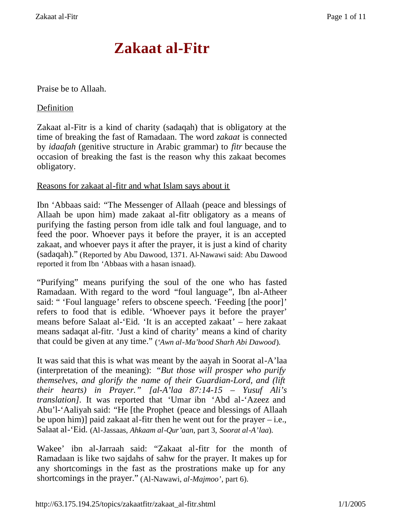# **Zakaat al-Fitr**

## Praise be to Allaah.

## **Definition**

Zakaat al-Fitr is a kind of charity (sadaqah) that is obligatory at the time of breaking the fast of Ramadaan. The word *zakaat* is connected by *idaafah* (genitive structure in Arabic grammar) to *fitr* because the occasion of breaking the fast is the reason why this zakaat becomes obligatory.

#### Reasons for zakaat al-fitr and what Islam says about it

Ibn 'Abbaas said: "The Messenger of Allaah (peace and blessings of Allaah be upon him) made zakaat al-fitr obligatory as a means of purifying the fasting person from idle talk and foul language, and to feed the poor. Whoever pays it before the prayer, it is an accepted zakaat, and whoever pays it after the prayer, it is just a kind of charity (sadaqah)." (Reported by Abu Dawood, 1371. Al-Nawawi said: Abu Dawood reported it from Ibn 'Abbaas with a hasan isnaad).

"Purifying" means purifying the soul of the one who has fasted Ramadaan. With regard to the word "foul language", Ibn al-Atheer said: " 'Foul language' refers to obscene speech. 'Feeding [the poor]' refers to food that is edible. 'Whoever pays it before the prayer' means before Salaat al-'Eid. 'It is an accepted zakaat' – here zakaat means sadaqat al-fitr. 'Just a kind of charity' means a kind of charity that could be given at any time." (*'Awn al-Ma'bood Sharh Abi Dawood*).

It was said that this is what was meant by the aayah in Soorat al-A'laa (interpretation of the meaning): *"But those will prosper who purify themselves, and glorify the name of their Guardian-Lord, and (lift their hearts) in Prayer." [al-A'laa 87:14-15 – Yusuf Ali's translation]*. It was reported that 'Umar ibn 'Abd al-'Azeez and Abu'l-'Aaliyah said: "He [the Prophet (peace and blessings of Allaah be upon him)] paid zakaat al-fitr then he went out for the prayer  $-i.e.,$ Salaat al-'Eid. (Al-Jassaas, *Ahkaam al-Qur'aan*, part 3, *Soorat al-A'laa*).

Wakee' ibn al-Jarraah said: "Zakaat al-fitr for the month of Ramadaan is like two sajdahs of sahw for the prayer. It makes up for any shortcomings in the fast as the prostrations make up for any shortcomings in the prayer." (Al-Nawawi, *al-Majmoo'*, part 6).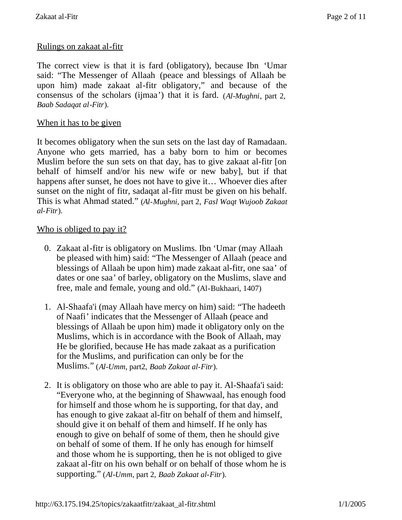# Rulings on zakaat al-fitr

The correct view is that it is fard (obligatory), because Ibn 'Umar said: "The Messenger of Allaah (peace and blessings of Allaah be upon him) made zakaat al-fitr obligatory," and because of the consensus of the scholars (ijmaa') that it is fard. (*Al-Mughni*, part 2, *Baab Sadaqat al-Fitr*).

## When it has to be given

It becomes obligatory when the sun sets on the last day of Ramadaan. Anyone who gets married, has a baby born to him or becomes Muslim before the sun sets on that day, has to give zakaat al-fitr [on behalf of himself and/or his new wife or new baby], but if that happens after sunset, he does not have to give it… Whoever dies after sunset on the night of fitr, sadaqat al-fitr must be given on his behalf. This is what Ahmad stated." (*Al-Mughni*, part 2, *Fasl Waqt Wujoob Zakaat al-Fitr*).

#### Who is obliged to pay it?

- 0. Zakaat al-fitr is obligatory on Muslims. Ibn 'Umar (may Allaah be pleased with him) said: "The Messenger of Allaah (peace and blessings of Allaah be upon him) made zakaat al-fitr, one saa' of dates or one saa' of barley, obligatory on the Muslims, slave and free, male and female, young and old." (Al-Bukhaari, 1407)
- 1. Al-Shaafa'i (may Allaah have mercy on him) said: "The hadeeth of Naafi' indicates that the Messenger of Allaah (peace and blessings of Allaah be upon him) made it obligatory only on the Muslims, which is in accordance with the Book of Allaah, may He be glorified, because He has made zakaat as a purification for the Muslims, and purification can only be for the Muslims." (*Al-Umm*, part2, *Baab Zakaat al-Fitr*).
- 2. It is obligatory on those who are able to pay it. Al-Shaafa'i said: "Everyone who, at the beginning of Shawwaal, has enough food for himself and those whom he is supporting, for that day, and has enough to give zakaat al-fitr on behalf of them and himself, should give it on behalf of them and himself. If he only has enough to give on behalf of some of them, then he should give on behalf of some of them. If he only has enough for himself and those whom he is supporting, then he is not obliged to give zakaat al-fitr on his own behalf or on behalf of those whom he is supporting." (*Al-Umm*, part 2, *Baab Zakaat al-Fitr*).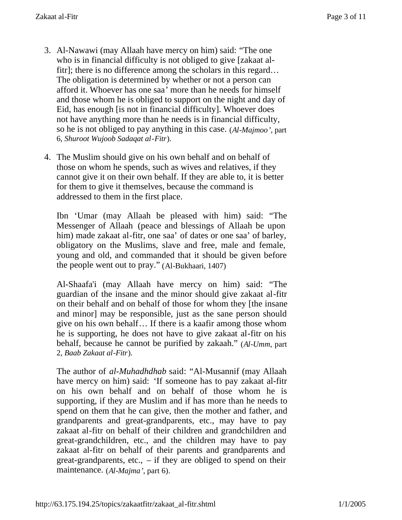- 3. Al-Nawawi (may Allaah have mercy on him) said: "The one who is in financial difficulty is not obliged to give [zakaat alfitr]; there is no difference among the scholars in this regard… The obligation is determined by whether or not a person can afford it. Whoever has one saa' more than he needs for himself and those whom he is obliged to support on the night and day of Eid, has enough [is not in financial difficulty]. Whoever does not have anything more than he needs is in financial difficulty, so he is not obliged to pay anything in this case. (*Al-Majmoo'*, part 6, *Shuroot Wujoob Sadaqat al-Fitr*).
- 4. The Muslim should give on his own behalf and on behalf of those on whom he spends, such as wives and relatives, if they cannot give it on their own behalf. If they are able to, it is better for them to give it themselves, because the command is addressed to them in the first place.

Ibn 'Umar (may Allaah be pleased with him) said: "The Messenger of Allaah (peace and blessings of Allaah be upon him) made zakaat al-fitr, one saa' of dates or one saa' of barley, obligatory on the Muslims, slave and free, male and female, young and old, and commanded that it should be given before the people went out to pray." (Al-Bukhaari, 1407)

Al-Shaafa'i (may Allaah have mercy on him) said: "The guardian of the insane and the minor should give zakaat al-fitr on their behalf and on behalf of those for whom they [the insane and minor] may be responsible, just as the sane person should give on his own behalf… If there is a kaafir among those whom he is supporting, he does not have to give zakaat al-fitr on his behalf, because he cannot be purified by zakaah." (*Al-Umm*, part 2, *Baab Zakaat al-Fitr*).

The author of *al-Muhadhdhab* said: "Al-Musannif (may Allaah have mercy on him) said: 'If someone has to pay zakaat al-fitr on his own behalf and on behalf of those whom he is supporting, if they are Muslim and if has more than he needs to spend on them that he can give, then the mother and father, and grandparents and great-grandparents, etc., may have to pay zakaat al-fitr on behalf of their children and grandchildren and great-grandchildren, etc., and the children may have to pay zakaat al-fitr on behalf of their parents and grandparents and great-grandparents, etc., – if they are obliged to spend on their maintenance. (*Al-Majma'*, part 6).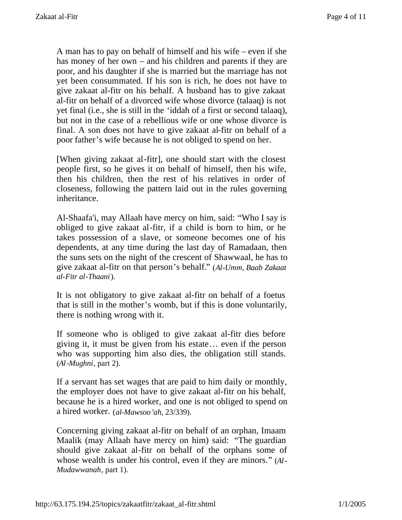A man has to pay on behalf of himself and his wife – even if she has money of her own – and his children and parents if they are poor, and his daughter if she is married but the marriage has not yet been consummated. If his son is rich, he does not have to give zakaat al-fitr on his behalf. A husband has to give zakaat al-fitr on behalf of a divorced wife whose divorce (talaaq) is not yet final (i.e., she is still in the 'iddah of a first or second talaaq), but not in the case of a rebellious wife or one whose divorce is final. A son does not have to give zakaat al-fitr on behalf of a poor father's wife because he is not obliged to spend on her.

[When giving zakaat al-fitr], one should start with the closest people first, so he gives it on behalf of himself, then his wife, then his children, then the rest of his relatives in order of closeness, following the pattern laid out in the rules governing inheritance.

Al-Shaafa'i, may Allaah have mercy on him, said: "Who I say is obliged to give zakaat al-fitr, if a child is born to him, or he takes possession of a slave, or someone becomes one of his dependents, at any time during the last day of Ramadaan, then the suns sets on the night of the crescent of Shawwaal, he has to give zakaat al-fitr on that person's behalf." (*Al-Umm*, *Baab Zakaat al-Fitr al-Thaani*).

It is not obligatory to give zakaat al-fitr on behalf of a foetus that is still in the mother's womb, but if this is done voluntarily, there is nothing wrong with it.

If someone who is obliged to give zakaat al-fitr dies before giving it, it must be given from his estate… even if the person who was supporting him also dies, the obligation still stands. (*Al-Mughni*, part 2).

If a servant has set wages that are paid to him daily or monthly, the employer does not have to give zakaat al-fitr on his behalf, because he is a hired worker, and one is not obliged to spend on a hired worker. (*al-Mawsoo'ah*, 23/339).

Concerning giving zakaat al-fitr on behalf of an orphan, Imaam Maalik (may Allaah have mercy on him) said: "The guardian should give zakaat al-fitr on behalf of the orphans some of whose wealth is under his control, even if they are minors." (*Al-Mudawwanah*, part 1).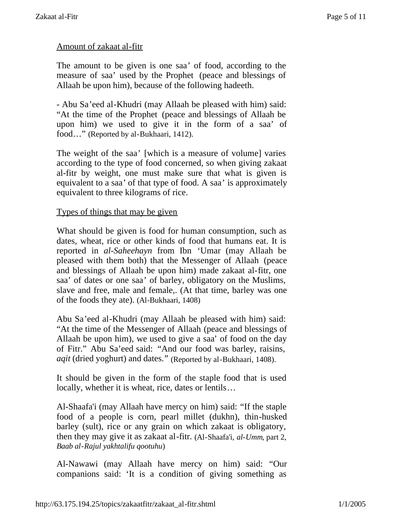# Amount of zakaat al-fitr

The amount to be given is one saa' of food, according to the measure of saa' used by the Prophet (peace and blessings of Allaah be upon him), because of the following hadeeth.

- Abu Sa'eed al-Khudri (may Allaah be pleased with him) said: "At the time of the Prophet (peace and blessings of Allaah be upon him) we used to give it in the form of a saa' of food…" (Reported by al-Bukhaari, 1412).

The weight of the saa' [which is a measure of volume] varies according to the type of food concerned, so when giving zakaat al-fitr by weight, one must make sure that what is given is equivalent to a saa' of that type of food. A saa' is approximately equivalent to three kilograms of rice.

#### Types of things that may be given

What should be given is food for human consumption, such as dates, wheat, rice or other kinds of food that humans eat. It is reported in *al-Saheehayn* from Ibn 'Umar (may Allaah be pleased with them both) that the Messenger of Allaah (peace and blessings of Allaah be upon him) made zakaat al-fitr, one saa' of dates or one saa' of barley, obligatory on the Muslims, slave and free, male and female,. (At that time, barley was one of the foods they ate). (Al-Bukhaari, 1408)

Abu Sa'eed al-Khudri (may Allaah be pleased with him) said: "At the time of the Messenger of Allaah (peace and blessings of Allaah be upon him), we used to give a saa' of food on the day of Fitr." Abu Sa'eed said: "And our food was barley, raisins, *aqit* (dried yoghurt) and dates." (Reported by al-Bukhaari, 1408).

It should be given in the form of the staple food that is used locally, whether it is wheat, rice, dates or lentils…

Al-Shaafa'i (may Allaah have mercy on him) said: "If the staple food of a people is corn, pearl millet (dukhn), thin-husked barley (sult), rice or any grain on which zakaat is obligatory, then they may give it as zakaat al-fitr. (Al-Shaafa'i, *al-Umm*, part 2, *Baab al-Rajul yakhtalifu qootuhu*)

Al-Nawawi (may Allaah have mercy on him) said: "Our companions said: 'It is a condition of giving something as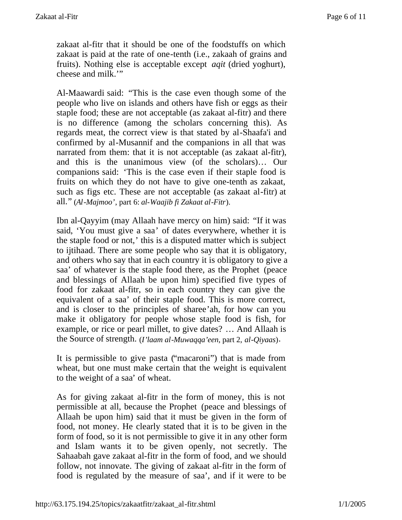zakaat al-fitr that it should be one of the foodstuffs on which zakaat is paid at the rate of one-tenth (i.e., zakaah of grains and fruits). Nothing else is acceptable except *aqit* (dried yoghurt), cheese and milk.'"

Al-Maawardi said: "This is the case even though some of the people who live on islands and others have fish or eggs as their staple food; these are not acceptable (as zakaat al-fitr) and there is no difference (among the scholars concerning this). As regards meat, the correct view is that stated by al-Shaafa'i and confirmed by al-Musannif and the companions in all that was narrated from them: that it is not acceptable (as zakaat al-fitr), and this is the unanimous view (of the scholars)… Our companions said: 'This is the case even if their staple food is fruits on which they do not have to give one-tenth as zakaat, such as figs etc. These are not acceptable (as zakaat al-fitr) at all." (*Al-Majmoo'*, part 6: *al-Waajib fi Zakaat al-Fitr*).

Ibn al-Qayyim (may Allaah have mercy on him) said: "If it was said, 'You must give a saa' of dates everywhere, whether it is the staple food or not,' this is a disputed matter which is subject to ijtihaad. There are some people who say that it is obligatory, and others who say that in each country it is obligatory to give a saa' of whatever is the staple food there, as the Prophet (peace and blessings of Allaah be upon him) specified five types of food for zakaat al-fitr, so in each country they can give the equivalent of a saa' of their staple food. This is more correct, and is closer to the principles of sharee'ah, for how can you make it obligatory for people whose staple food is fish, for example, or rice or pearl millet, to give dates? … And Allaah is the Source of strength. (*I'laam al-Muwaqqa'een*, part 2, *al-Qiyaas*).

It is permissible to give pasta ("macaroni") that is made from wheat, but one must make certain that the weight is equivalent to the weight of a saa' of wheat.

As for giving zakaat al-fitr in the form of money, this is not permissible at all, because the Prophet (peace and blessings of Allaah be upon him) said that it must be given in the form of food, not money. He clearly stated that it is to be given in the form of food, so it is not permissible to give it in any other form and Islam wants it to be given openly, not secretly. The Sahaabah gave zakaat al-fitr in the form of food, and we should follow, not innovate. The giving of zakaat al-fitr in the form of food is regulated by the measure of saa', and if it were to be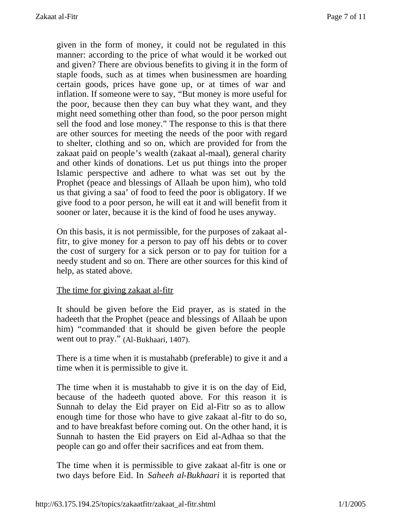given in the form of money, it could not be regulated in this manner: according to the price of what would it be worked out and given? There are obvious benefits to giving it in the form of staple foods, such as at times when businessmen are hoarding certain goods, prices have gone up, or at times of war and inflation. If someone were to say, "But money is more useful for the poor, because then they can buy what they want, and they might need something other than food, so the poor person might sell the food and lose money." The response to this is that there are other sources for meeting the needs of the poor with regard to shelter, clothing and so on, which are provided for from the zakaat paid on people's wealth (zakaat al-maal), general charity and other kinds of donations. Let us put things into the proper Islamic perspective and adhere to what was set out by the Prophet (peace and blessings of Allaah be upon him), who told us that giving a saa' of food to feed the poor is obligatory. If we give food to a poor person, he will eat it and will benefit from it sooner or later, because it is the kind of food he uses anyway.

On this basis, it is not permissible, for the purposes of zakaat alfitr, to give money for a person to pay off his debts or to cover the cost of surgery for a sick person or to pay for tuition for a needy student and so on. There are other sources for this kind of help, as stated above.

#### The time for giving zakaat al-fitr

It should be given before the Eid prayer, as is stated in the hadeeth that the Prophet (peace and blessings of Allaah be upon him) "commanded that it should be given before the people went out to pray." (Al-Bukhaari, 1407).

There is a time when it is mustahabb (preferable) to give it and a time when it is permissible to give it.

The time when it is mustahabb to give it is on the day of Eid, because of the hadeeth quoted above. For this reason it is Sunnah to delay the Eid prayer on Eid al-Fitr so as to allow enough time for those who have to give zakaat al-fitr to do so, and to have breakfast before coming out. On the other hand, it is Sunnah to hasten the Eid prayers on Eid al-Adhaa so that the people can go and offer their sacrifices and eat from them.

The time when it is permissible to give zakaat al-fitr is one or two days before Eid. In *Saheeh al-Bukhaari* it is reported that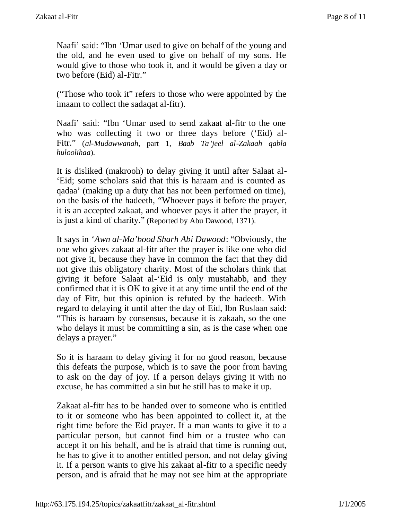Naafi' said: "Ibn 'Umar used to give on behalf of the young and the old, and he even used to give on behalf of my sons. He would give to those who took it, and it would be given a day or two before (Eid) al-Fitr."

("Those who took it" refers to those who were appointed by the imaam to collect the sadaqat al-fitr).

Naafi' said: "Ibn 'Umar used to send zakaat al-fitr to the one who was collecting it two or three days before ('Eid) al-Fitr." (*al-Mudawwanah*, part 1, *Baab Ta'jeel al-Zakaah qabla huloolihaa*).

It is disliked (makrooh) to delay giving it until after Salaat al- 'Eid; some scholars said that this is haraam and is counted as qadaa' (making up a duty that has not been performed on time), on the basis of the hadeeth, "Whoever pays it before the prayer, it is an accepted zakaat, and whoever pays it after the prayer, it is just a kind of charity." (Reported by Abu Dawood, 1371).

It says in '*Awn al-Ma'bood Sharh Abi Dawood*: "Obviously, the one who gives zakaat al-fitr after the prayer is like one who did not give it, because they have in common the fact that they did not give this obligatory charity. Most of the scholars think that giving it before Salaat al-'Eid is only mustahabb, and they confirmed that it is OK to give it at any time until the end of the day of Fitr, but this opinion is refuted by the hadeeth. With regard to delaying it until after the day of Eid, Ibn Ruslaan said: "This is haraam by consensus, because it is zakaah, so the one who delays it must be committing a sin, as is the case when one delays a prayer."

So it is haraam to delay giving it for no good reason, because this defeats the purpose, which is to save the poor from having to ask on the day of joy. If a person delays giving it with no excuse, he has committed a sin but he still has to make it up.

Zakaat al-fitr has to be handed over to someone who is entitled to it or someone who has been appointed to collect it, at the right time before the Eid prayer. If a man wants to give it to a particular person, but cannot find him or a trustee who can accept it on his behalf, and he is afraid that time is running out, he has to give it to another entitled person, and not delay giving it. If a person wants to give his zakaat al-fitr to a specific needy person, and is afraid that he may not see him at the appropriate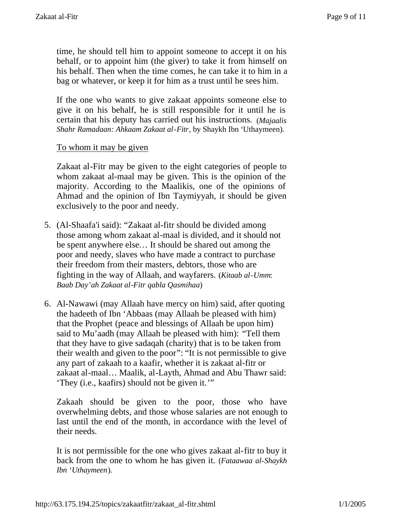time, he should tell him to appoint someone to accept it on his behalf, or to appoint him (the giver) to take it from himself on his behalf. Then when the time comes, he can take it to him in a bag or whatever, or keep it for him as a trust until he sees him.

If the one who wants to give zakaat appoints someone else to give it on his behalf, he is still responsible for it until he is certain that his deputy has carried out his instructions. (*Majaalis Shahr Ramadaan: Ahkaam Zakaat al-Fitr*, by Shaykh Ibn 'Uthaymeen).

## To whom it may be given

Zakaat al-Fitr may be given to the eight categories of people to whom zakaat al-maal may be given. This is the opinion of the majority. According to the Maalikis, one of the opinions of Ahmad and the opinion of Ibn Taymiyyah, it should be given exclusively to the poor and needy.

- 5. (Al-Shaafa'i said): "Zakaat al-fitr should be divided among those among whom zakaat al-maal is divided, and it should not be spent anywhere else… It should be shared out among the poor and needy, slaves who have made a contract to purchase their freedom from their masters, debtors, those who are fighting in the way of Allaah, and wayfarers. (*Kitaab al-Umm*: *Baab Day'ah Zakaat al-Fitr qabla Qasmihaa*)
- 6. Al-Nawawi (may Allaah have mercy on him) said, after quoting the hadeeth of Ibn 'Abbaas (may Allaah be pleased with him) that the Prophet (peace and blessings of Allaah be upon him) said to Mu'aadh (may Allaah be pleased with him): "Tell them that they have to give sadaqah (charity) that is to be taken from their wealth and given to the poor": "It is not permissible to give any part of zakaah to a kaafir, whether it is zakaat al-fitr or zakaat al-maal… Maalik, al-Layth, Ahmad and Abu Thawr said: 'They (i.e., kaafirs) should not be given it.'"

Zakaah should be given to the poor, those who have overwhelming debts, and those whose salaries are not enough to last until the end of the month, in accordance with the level of their needs.

It is not permissible for the one who gives zakaat al-fitr to buy it back from the one to whom he has given it. (*Fataawaa al-Shaykh Ibn 'Uthaymeen*).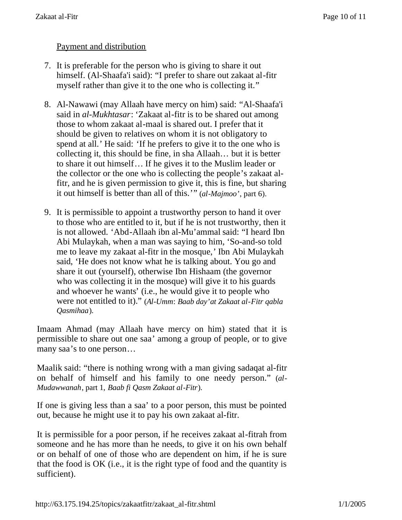# Payment and distribution

- 7. It is preferable for the person who is giving to share it out himself. (Al-Shaafa'i said): "I prefer to share out zakaat al-fitr myself rather than give it to the one who is collecting it."
- 8. Al-Nawawi (may Allaah have mercy on him) said: "Al-Shaafa'i said in *al-Mukhtasar*: 'Zakaat al-fitr is to be shared out among those to whom zakaat al-maal is shared out. I prefer that it should be given to relatives on whom it is not obligatory to spend at all.' He said: 'If he prefers to give it to the one who is collecting it, this should be fine, in sha Allaah… but it is better to share it out himself… If he gives it to the Muslim leader or the collector or the one who is collecting the people's zakaat alfitr, and he is given permission to give it, this is fine, but sharing it out himself is better than all of this.'" (*al-Majmoo'*, part 6).
- 9. It is permissible to appoint a trustworthy person to hand it over to those who are entitled to it, but if he is not trustworthy, then it is not allowed. 'Abd-Allaah ibn al-Mu'ammal said: "I heard Ibn Abi Mulaykah, when a man was saying to him, 'So-and-so told me to leave my zakaat al-fitr in the mosque,' Ibn Abi Mulaykah said, 'He does not know what he is talking about. You go and share it out (yourself), otherwise Ibn Hishaam (the governor who was collecting it in the mosque) will give it to his guards and whoever he wants' (i.e., he would give it to people who were not entitled to it)." (*Al-Umm*: *Baab day'at Zakaat al-Fitr qabla Qasmihaa*).

Imaam Ahmad (may Allaah have mercy on him) stated that it is permissible to share out one saa' among a group of people, or to give many saa's to one person…

Maalik said: "there is nothing wrong with a man giving sadaqat al-fitr on behalf of himself and his family to one needy person." (*al-Mudawwanah*, part 1, *Baab fi Qasm Zakaat al-Fitr*).

If one is giving less than a saa' to a poor person, this must be pointed out, because he might use it to pay his own zakaat al-fitr.

It is permissible for a poor person, if he receives zakaat al-fitrah from someone and he has more than he needs, to give it on his own behalf or on behalf of one of those who are dependent on him, if he is sure that the food is OK (i.e., it is the right type of food and the quantity is sufficient).